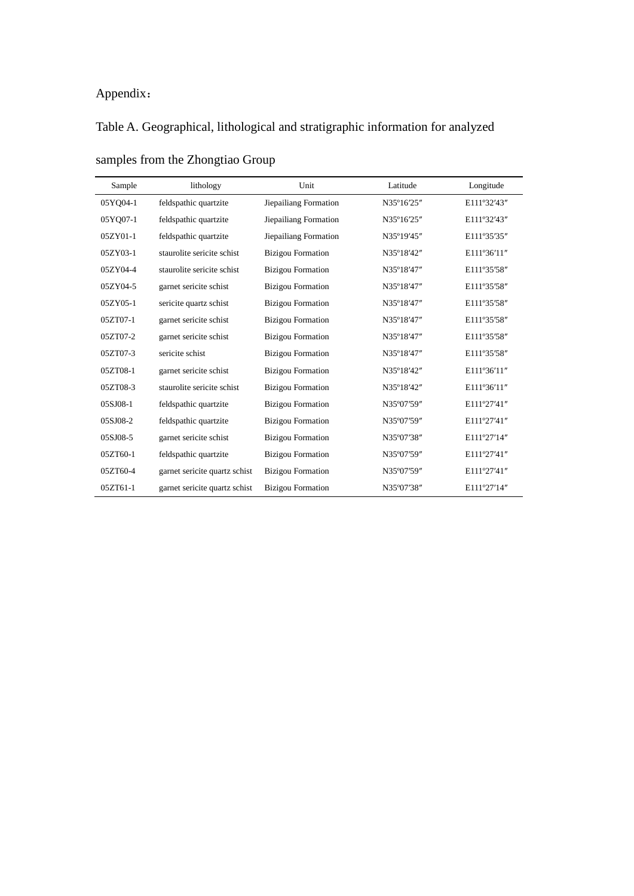## Appendix:

## Table A. Geographical, lithological and stratigraphic information for analyzed

| Sample   | lithology                     | Unit                     | Latitude   | Longitude   |
|----------|-------------------------------|--------------------------|------------|-------------|
| 05YO04-1 | feldspathic quartzite         | Jiepailiang Formation    | N35°16'25" | E111°32'43" |
| 05YO07-1 | feldspathic quartzite         | Jiepailiang Formation    | N35°16'25" | E111°32'43" |
| 05ZY01-1 | feldspathic quartzite         | Jiepailiang Formation    | N35°19'45" | E111°35'35" |
| 05ZY03-1 | staurolite sericite schist    | <b>Bizigou Formation</b> | N35°18'42" | E111°36'11" |
| 05ZY04-4 | staurolite sericite schist    | <b>Bizigou Formation</b> | N35°18'47" | E111°35'58" |
| 05ZY04-5 | garnet sericite schist        | <b>Bizigou Formation</b> | N35°18'47" | E111°35'58" |
| 05ZY05-1 | sericite quartz schist        | <b>Bizigou Formation</b> | N35°18'47" | E111°35'58" |
| 05ZT07-1 | garnet sericite schist        | <b>Bizigou Formation</b> | N35°18'47" | E111°35'58" |
| 05ZT07-2 | garnet sericite schist        | <b>Bizigou Formation</b> | N35°18'47" | E111°35'58" |
| 05ZT07-3 | sericite schist               | <b>Bizigou Formation</b> | N35°18'47" | E111°35'58" |
| 05ZT08-1 | garnet sericite schist        | <b>Bizigou Formation</b> | N35°18'42" | E111°36'11" |
| 05ZT08-3 | staurolite sericite schist    | <b>Bizigou Formation</b> | N35°18'42" | E111°36'11" |
| 05SJ08-1 | feldspathic quartzite         | <b>Bizigou Formation</b> | N35°07'59" | E111°27'41" |
| 05SJ08-2 | feldspathic quartzite         | <b>Bizigou Formation</b> | N35°07'59" | E111°27'41" |
| 05SJ08-5 | garnet sericite schist        | <b>Bizigou Formation</b> | N35°07'38" | E111°27'14" |
| 05ZT60-1 | feldspathic quartzite         | <b>Bizigou Formation</b> | N35°07'59" | E111°27'41" |
| 05ZT60-4 | garnet sericite quartz schist | <b>Bizigou Formation</b> | N35°07'59" | E111°27'41" |
| 05ZT61-1 | garnet sericite quartz schist | <b>Bizigou Formation</b> | N35°07'38" | E111°27'14" |

samples from the Zhongtiao Group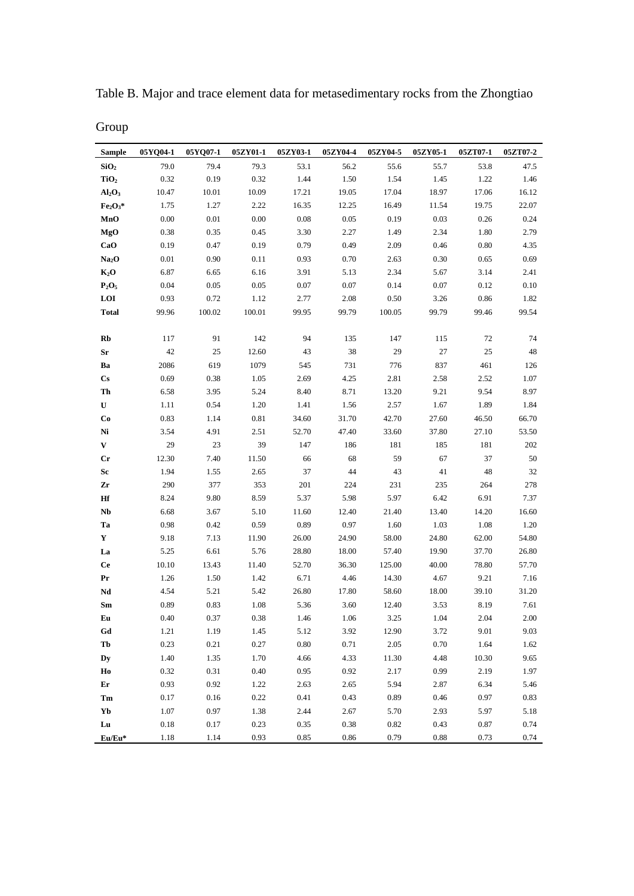| <b>Sample</b>                  | 05YO04-1 | 05YO07-1 | 05ZY01-1 | 05ZY03-1 | 05ZY04-4 | 05ZY04-5 | 05ZY05-1 | 05ZT07-1   | 05ZT07-2 |
|--------------------------------|----------|----------|----------|----------|----------|----------|----------|------------|----------|
| SiO <sub>2</sub>               | 79.0     | 79.4     | 79.3     | 53.1     | 56.2     | 55.6     | 55.7     | 53.8       | 47.5     |
| TiO <sub>2</sub>               | 0.32     | 0.19     | 0.32     | 1.44     | 1.50     | 1.54     | 1.45     | 1.22       | 1.46     |
| Al <sub>2</sub> O <sub>3</sub> | 10.47    | 10.01    | 10.09    | 17.21    | 19.05    | 17.04    | 18.97    | 17.06      | 16.12    |
| $Fe2O3*$                       | 1.75     | 1.27     | 2.22     | 16.35    | 12.25    | 16.49    | 11.54    | 19.75      | 22.07    |
| MnO                            | 0.00     | 0.01     | $0.00\,$ | 0.08     | 0.05     | 0.19     | 0.03     | 0.26       | 0.24     |
| MgO                            | 0.38     | 0.35     | 0.45     | 3.30     | 2.27     | 1.49     | 2.34     | 1.80       | 2.79     |
| CaO                            | 0.19     | 0.47     | 0.19     | 0.79     | 0.49     | 2.09     | 0.46     | 0.80       | 4.35     |
| Na <sub>2</sub> O              | $0.01\,$ | 0.90     | 0.11     | 0.93     | 0.70     | 2.63     | 0.30     | 0.65       | 0.69     |
| $K_2O$                         | 6.87     | 6.65     | 6.16     | 3.91     | 5.13     | 2.34     | 5.67     | 3.14       | 2.41     |
| $P_2O_5$                       | 0.04     | 0.05     | 0.05     | 0.07     | 0.07     | 0.14     | 0.07     | 0.12       | 0.10     |
| LOI                            | 0.93     | 0.72     | 1.12     | 2.77     | 2.08     | 0.50     | 3.26     | 0.86       | 1.82     |
| <b>Total</b>                   | 99.96    | 100.02   | 100.01   | 99.95    | 99.79    | 100.05   | 99.79    | 99.46      | 99.54    |
|                                |          |          |          |          |          |          |          |            |          |
| Rb                             | 117      | 91       | 142      | 94       | 135      | 147      | 115      | 72         | 74       |
| Sr                             | 42       | 25       | 12.60    | 43       | 38       | 29       | 27       | 25         | 48       |
| Ba                             | 2086     | 619      | 1079     | 545      | 731      | 776      | 837      | 461        | 126      |
| $\mathbf{C}\mathbf{s}$         | 0.69     | 0.38     | 1.05     | 2.69     | 4.25     | 2.81     | 2.58     | 2.52       | 1.07     |
| Th                             | 6.58     | 3.95     | 5.24     | 8.40     | 8.71     | 13.20    | 9.21     | 9.54       | 8.97     |
| U                              | 1.11     | 0.54     | 1.20     | 1.41     | 1.56     | 2.57     | 1.67     | 1.89       | 1.84     |
| Co                             | 0.83     | 1.14     | 0.81     | 34.60    | 31.70    | 42.70    | 27.60    | 46.50      | 66.70    |
| Ni                             | 3.54     | 4.91     | 2.51     | 52.70    | 47.40    | 33.60    | 37.80    | 27.10      | 53.50    |
| V                              | 29       | 23       | 39       | 147      | 186      | 181      | 185      | 181        | 202      |
| Cr                             | 12.30    | 7.40     | 11.50    | 66       | 68       | 59       | 67       | 37         | 50       |
| Sc                             | 1.94     | 1.55     | 2.65     | 37       | 44       | 43       | 41       | 48         | 32       |
| Zr                             | 290      | 377      | 353      | 201      | 224      | 231      | 235      | 264        | 278      |
| Hf                             | 8.24     | 9.80     | 8.59     | 5.37     | 5.98     | 5.97     | 6.42     | 6.91       | 7.37     |
| Nb                             | 6.68     | 3.67     | 5.10     | 11.60    | 12.40    | 21.40    | 13.40    | 14.20      | 16.60    |
| Ta                             | 0.98     | 0.42     | 0.59     | 0.89     | 0.97     | 1.60     | 1.03     | 1.08       | 1.20     |
| Y                              | 9.18     | 7.13     | 11.90    | 26.00    | 24.90    | 58.00    | 24.80    | 62.00      | 54.80    |
| La                             | 5.25     | 6.61     | 5.76     | 28.80    | 18.00    | 57.40    | 19.90    | 37.70      | 26.80    |
| <b>Ce</b>                      | 10.10    | 13.43    | 11.40    | 52.70    | 36.30    | 125.00   | 40.00    | 78.80      | 57.70    |
| Pr                             | 1.26     | 1.50     | 1.42     | 6.71     | 4.46     | 14.30    | 4.67     | 9.21       | 7.16     |
| Nd                             | 4.54     | 5.21     | 5.42     | 26.80    | 17.80    | 58.60    | 18.00    | 39.10      | 31.20    |
| Sm                             | 0.89     | 0.83     | 1.08     | 5.36     | 3.60     | 12.40    | 3.53     | 8.19       | 7.61     |
| ${\bf E}{\bf u}$               | $0.40\,$ | $0.37\,$ | $0.38\,$ | 1.46     | 1.06     | 3.25     | $1.04\,$ | 2.04       | $2.00\,$ |
| Gd                             | 1.21     | 1.19     | 1.45     | 5.12     | 3.92     | 12.90    | 3.72     | 9.01       | 9.03     |
| Tb                             | 0.23     | 0.21     | 0.27     | $0.80\,$ | 0.71     | 2.05     | 0.70     | 1.64       | 1.62     |
| Dy                             | 1.40     | 1.35     | 1.70     | 4.66     | 4.33     | 11.30    | 4.48     | 10.30      | 9.65     |
| Ho                             | 0.32     | 0.31     | 0.40     | 0.95     | 0.92     | 2.17     | 0.99     | 2.19       | 1.97     |
| Er                             | 0.93     | 0.92     | 1.22     | 2.63     | 2.65     | 5.94     | 2.87     | 6.34       | 5.46     |
| Tm                             | 0.17     | 0.16     | 0.22     | 0.41     | 0.43     | 0.89     | 0.46     | 0.97       | 0.83     |
| Yb                             | 1.07     | 0.97     | 1.38     | 2.44     | 2.67     | 5.70     | 2.93     | 5.97       | 5.18     |
| Lu                             | 0.18     | 0.17     | 0.23     | 0.35     | 0.38     | 0.82     | 0.43     | $\rm 0.87$ | 0.74     |
| $Eu/Eu*$                       | 1.18     | 1.14     | 0.93     | 0.85     | 0.86     | 0.79     | 0.88     | 0.73       | 0.74     |

Table B. Major and trace element data for metasedimentary rocks from the Zhongtiao

Group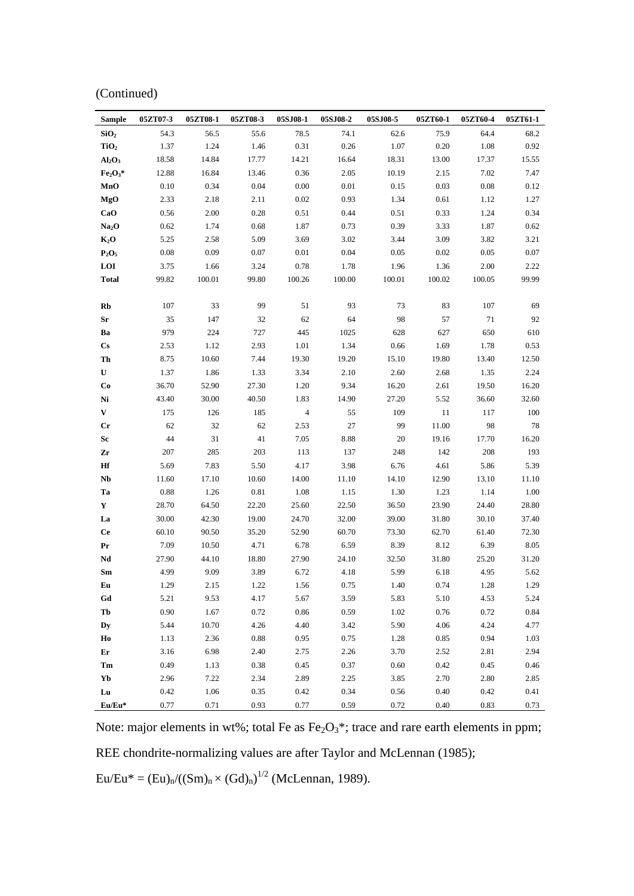|  | (Continued) |
|--|-------------|
|  |             |

| <b>Sample</b>                  | 05ZT07-3 | 05ZT08-1 | 05ZT08-3 | 05SJ08-1       | 05SJ08-2 | 05SJ08-5 | 05ZT60-1 | 05ZT60-4 | 05ZT61-1 |
|--------------------------------|----------|----------|----------|----------------|----------|----------|----------|----------|----------|
| SiO <sub>2</sub>               | 54.3     | 56.5     | 55.6     | 78.5           | 74.1     | 62.6     | 75.9     | 64.4     | 68.2     |
| TiO <sub>2</sub>               | 1.37     | 1.24     | 1.46     | 0.31           | 0.26     | 1.07     | 0.20     | 1.08     | 0.92     |
| Al <sub>2</sub> O <sub>3</sub> | 18.58    | 14.84    | 17.77    | 14.21          | 16.64    | 18.31    | 13.00    | 17.37    | 15.55    |
| $Fe2O3*$                       | 12.88    | 16.84    | 13.46    | 0.36           | 2.05     | 10.19    | 2.15     | 7.02     | 7.47     |
| MnO                            | 0.10     | 0.34     | 0.04     | 0.00           | 0.01     | 0.15     | 0.03     | 0.08     | 0.12     |
| MgO                            | 2.33     | 2.18     | 2.11     | 0.02           | 0.93     | 1.34     | 0.61     | 1.12     | 1.27     |
| CaO                            | 0.56     | 2.00     | 0.28     | 0.51           | 0.44     | 0.51     | 0.33     | 1.24     | 0.34     |
| Na <sub>2</sub> O              | 0.62     | 1.74     | 0.68     | 1.87           | 0.73     | 0.39     | 3.33     | 1.87     | 0.62     |
| $K_2O$                         | 5.25     | 2.58     | 5.09     | 3.69           | 3.02     | 3.44     | 3.09     | 3.82     | 3.21     |
| $P_2O_5$                       | 0.08     | 0.09     | 0.07     | 0.01           | 0.04     | 0.05     | 0.02     | 0.05     | 0.07     |
| LOI                            | 3.75     | 1.66     | 3.24     | 0.78           | 1.78     | 1.96     | 1.36     | 2.00     | 2.22     |
| <b>Total</b>                   | 99.82    | 100.01   | 99.80    | 100.26         | 100.00   | 100.01   | 100.02   | 100.05   | 99.99    |
|                                |          |          |          |                |          |          |          |          |          |
| Rb                             | 107      | 33       | 99       | 51             | 93       | 73       | 83       | 107      | 69       |
| Sr                             | 35       | 147      | 32       | 62             | 64       | 98       | 57       | 71       | 92       |
| Ba                             | 979      | 224      | 727      | 445            | 1025     | 628      | 627      | 650      | 610      |
| $\mathbf{C}\mathbf{s}$         | 2.53     | 1.12     | 2.93     | 1.01           | 1.34     | 0.66     | 1.69     | 1.78     | 0.53     |
| Th                             | 8.75     | 10.60    | 7.44     | 19.30          | 19.20    | 15.10    | 19.80    | 13.40    | 12.50    |
| U                              | 1.37     | 1.86     | 1.33     | 3.34           | 2.10     | 2.60     | 2.68     | 1.35     | 2.24     |
| Co                             | 36.70    | 52.90    | 27.30    | 1.20           | 9.34     | 16.20    | 2.61     | 19.50    | 16.20    |
| Ni                             | 43.40    | 30.00    | 40.50    | 1.83           | 14.90    | 27.20    | 5.52     | 36.60    | 32.60    |
| V                              | 175      | 126      | 185      | $\overline{4}$ | 55       | 109      | 11       | 117      | 100      |
| $_{\rm Cr}$                    | 62       | 32       | 62       | 2.53           | 27       | 99       | 11.00    | 98       | 78       |
| Sc                             | 44       | 31       | 41       | 7.05           | 8.88     | 20       | 19.16    | 17.70    | 16.20    |
| Zr                             | 207      | 285      | 203      | 113            | 137      | 248      | 142      | 208      | 193      |
| Hf                             | 5.69     | 7.83     | 5.50     | 4.17           | 3.98     | 6.76     | 4.61     | 5.86     | 5.39     |
| Nb                             | 11.60    | 17.10    | 10.60    | 14.00          | 11.10    | 14.10    | 12.90    | 13.10    | 11.10    |
| Ta                             | 0.88     | 1.26     | 0.81     | 1.08           | 1.15     | 1.30     | 1.23     | 1.14     | 1.00     |
| Y                              | 28.70    | 64.50    | 22.20    | 25.60          | 22.50    | 36.50    | 23.90    | 24.40    | 28.80    |
| La                             | 30.00    | 42.30    | 19.00    | 24.70          | 32.00    | 39.00    | 31.80    | 30.10    | 37.40    |
| <b>Ce</b>                      | 60.10    | 90.50    | 35.20    | 52.90          | 60.70    | 73.30    | 62.70    | 61.40    | 72.30    |
| Pr                             | 7.09     | 10.50    | 4.71     | 6.78           | 6.59     | 8.39     | 8.12     | 6.39     | 8.05     |
| Nd                             | 27.90    | 44.10    | 18.80    | 27.90          | 24.10    | 32.50    | 31.80    | 25.20    | 31.20    |
| Sm                             | 4.99     | 9.09     | 3.89     | 6.72           | 4.18     | 5.99     | 6.18     | 4.95     | 5.62     |
| Eu                             | 1.29     | 2.15     | 1.22     | 1.56           | 0.75     | 1.40     | 0.74     | 1.28     | 1.29     |
| Gd                             | 5.21     | 9.53     | 4.17     | 5.67           | 3.59     | 5.83     | $5.10\,$ | 4.53     | 5.24     |
| Tb                             | 0.90     | 1.67     | 0.72     | $\,0.86\,$     | 0.59     | $1.02\,$ | 0.76     | 0.72     | 0.84     |
| Dy                             | 5.44     | 10.70    | 4.26     | 4.40           | 3.42     | 5.90     | 4.06     | 4.24     | 4.77     |
| Ho                             | 1.13     | 2.36     | 0.88     | 0.95           | 0.75     | 1.28     | 0.85     | 0.94     | 1.03     |
| Er                             | 3.16     | 6.98     | 2.40     | 2.75           | 2.26     | 3.70     | 2.52     | 2.81     | 2.94     |
| Tm                             | 0.49     | 1.13     | 0.38     | 0.45           | 0.37     | 0.60     | 0.42     | 0.45     | 0.46     |
| Yb                             | 2.96     | 7.22     | 2.34     | 2.89           | 2.25     | 3.85     | 2.70     | 2.80     | 2.85     |
| Lu                             | 0.42     | 1.06     | 0.35     | 0.42           | 0.34     | 0.56     | 0.40     | 0.42     | 0.41     |
| Eu/Eu*                         | 0.77     | 0.71     | 0.93     | 0.77           | 0.59     | 0.72     | 0.40     | 0.83     | 0.73     |

Note: major elements in wt%; total Fe as  $Fe<sub>2</sub>O<sub>3</sub>$ \*; trace and rare earth elements in ppm;

REE chondrite-normalizing values are after Taylor and McLennan (1985);

 $Eu/Eu^* = (Eu)_{n}/((Sm)_{n} \times (Gd)_{n})^{1/2}$  (McLennan, 1989).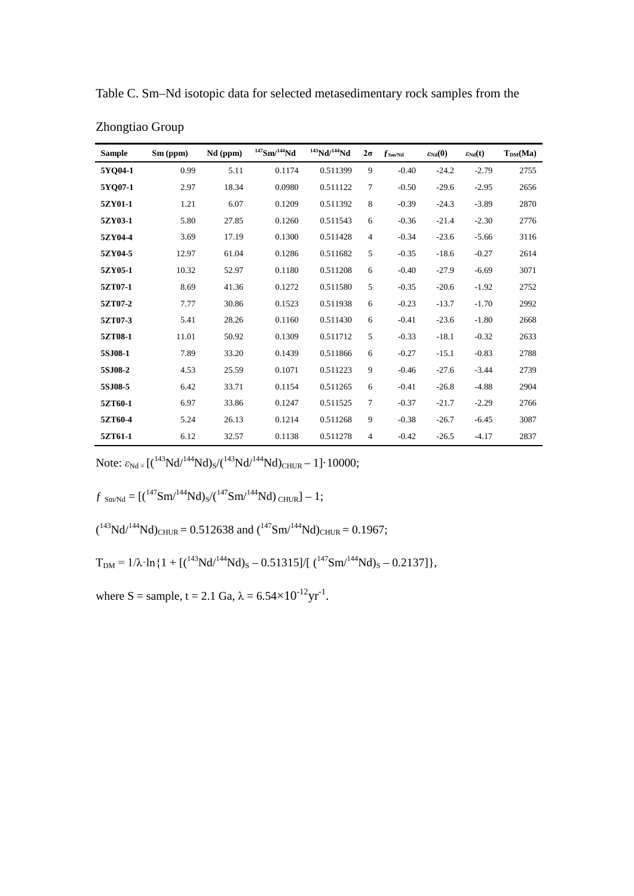| <b>Sample</b> | Sm (ppm) | Nd (ppm) | $147$ Sm/ $144$ Nd | $143$ Nd/ $144$ Nd | $2\sigma$      | $f_{\rm Sm/Nd}$ | $\varepsilon_{Nd}(0)$ | $\varepsilon_{Nd}(t)$ | $T_{DM}(Ma)$ |
|---------------|----------|----------|--------------------|--------------------|----------------|-----------------|-----------------------|-----------------------|--------------|
| 5YO04-1       | 0.99     | 5.11     | 0.1174             | 0.511399           | 9              | $-0.40$         | $-24.2$               | $-2.79$               | 2755         |
| 5YO07-1       | 2.97     | 18.34    | 0.0980             | 0.511122           | 7              | $-0.50$         | $-29.6$               | $-2.95$               | 2656         |
| 5ZY01-1       | 1.21     | 6.07     | 0.1209             | 0.511392           | 8              | $-0.39$         | $-24.3$               | $-3.89$               | 2870         |
| 5ZY03-1       | 5.80     | 27.85    | 0.1260             | 0.511543           | 6              | $-0.36$         | $-21.4$               | $-2.30$               | 2776         |
| 5ZY04-4       | 3.69     | 17.19    | 0.1300             | 0.511428           | $\overline{4}$ | $-0.34$         | $-23.6$               | $-5.66$               | 3116         |
| 5ZY04-5       | 12.97    | 61.04    | 0.1286             | 0.511682           | 5              | $-0.35$         | $-18.6$               | $-0.27$               | 2614         |
| 5ZY05-1       | 10.32    | 52.97    | 0.1180             | 0.511208           | 6              | $-0.40$         | $-27.9$               | $-6.69$               | 3071         |
| 5ZT07-1       | 8.69     | 41.36    | 0.1272             | 0.511580           | 5              | $-0.35$         | $-20.6$               | $-1.92$               | 2752         |
| 5ZT07-2       | 7.77     | 30.86    | 0.1523             | 0.511938           | 6              | $-0.23$         | $-13.7$               | $-1.70$               | 2992         |
| 5ZT07-3       | 5.41     | 28.26    | 0.1160             | 0.511430           | 6              | $-0.41$         | $-23.6$               | $-1.80$               | 2668         |
| 5ZT08-1       | 11.01    | 50.92    | 0.1309             | 0.511712           | 5              | $-0.33$         | $-18.1$               | $-0.32$               | 2633         |
| 5SJ08-1       | 7.89     | 33.20    | 0.1439             | 0.511866           | 6              | $-0.27$         | $-15.1$               | $-0.83$               | 2788         |
| 5SJ08-2       | 4.53     | 25.59    | 0.1071             | 0.511223           | 9              | $-0.46$         | $-27.6$               | $-3.44$               | 2739         |
| 5SJ08-5       | 6.42     | 33.71    | 0.1154             | 0.511265           | 6              | $-0.41$         | $-26.8$               | $-4.88$               | 2904         |
| 5ZT60-1       | 6.97     | 33.86    | 0.1247             | 0.511525           | 7              | $-0.37$         | $-21.7$               | $-2.29$               | 2766         |
| 5ZT60-4       | 5.24     | 26.13    | 0.1214             | 0.511268           | 9              | $-0.38$         | $-26.7$               | $-6.45$               | 3087         |
| 5ZT61-1       | 6.12     | 32.57    | 0.1138             | 0.511278           | 4              | $-0.42$         | $-26.5$               | $-4.17$               | 2837         |

Table C. Sm–Nd isotopic data for selected metasedimentary rock samples from the

Zhongtiao Group

Note:  $\varepsilon_{Nd} = [({}^{143}Nd/{}^{144}Nd)_S / ({}^{143}Nd/{}^{144}Nd)_{CHUR} - 1] \cdot 10000;$ 

$$
f_{\rm Sm/Nd} = \left[(^{147} \rm Sm/^{144} \rm Nd)_{S}/(^{147} \rm Sm/^{144} \rm Nd)_{\rm CHUR} \right] - 1;
$$

$$
(^{143}Nd/^{144}Nd)_{CHUR} = 0.512638
$$
 and  $(^{147}Sm/^{144}Nd)_{CHUR} = 0.1967$ ;

$$
T_{DM} = 1/\lambda \cdot \ln\{1 + \left[(^{143}Nd/^{144}Nd\right)_S - 0.51315\right] / \left[(^{147}Sm/^{144}Nd\right)_S - 0.2137\right]\},
$$

where S = sample, t = 2.1 Ga,  $\lambda = 6.54 \times 10^{-12} \text{yr}^{-1}$ .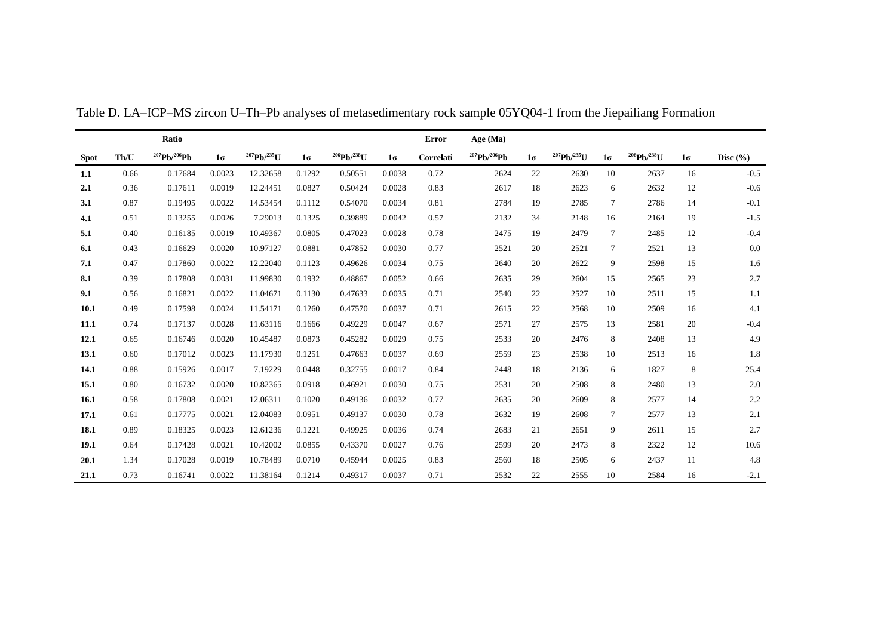|             |      | Ratio               |           |                         |           |                    |           | <b>Error</b> | Age (Ma)            |           |                    |           |                    |           |              |
|-------------|------|---------------------|-----------|-------------------------|-----------|--------------------|-----------|--------------|---------------------|-----------|--------------------|-----------|--------------------|-----------|--------------|
| <b>Spot</b> | Th/U | $^{207}Pb/^{206}Pb$ | $1\sigma$ | $^{207}$ Pb/ $^{235}$ U | $1\sigma$ | $^{206}Pb/^{238}U$ | $1\sigma$ | Correlati    | $^{207}Pb/^{206}Pb$ | $1\sigma$ | $^{207}Pb/^{235}U$ | $1\sigma$ | $^{206}Pb/^{238}U$ | $1\sigma$ | Disc $(\% )$ |
| 1.1         | 0.66 | 0.17684             | 0.0023    | 12.32658                | 0.1292    | 0.50551            | 0.0038    | 0.72         | 2624                | 22        | 2630               | 10        | 2637               | 16        | $-0.5$       |
| 2.1         | 0.36 | 0.17611             | 0.0019    | 12.24451                | 0.0827    | 0.50424            | 0.0028    | 0.83         | 2617                | 18        | 2623               | 6         | 2632               | 12        | $-0.6$       |
| 3.1         | 0.87 | 0.19495             | 0.0022    | 14.53454                | 0.1112    | 0.54070            | 0.0034    | 0.81         | 2784                | 19        | 2785               | $\tau$    | 2786               | 14        | $-0.1$       |
| 4.1         | 0.51 | 0.13255             | 0.0026    | 7.29013                 | 0.1325    | 0.39889            | 0.0042    | 0.57         | 2132                | 34        | 2148               | 16        | 2164               | 19        | $-1.5$       |
| 5.1         | 0.40 | 0.16185             | 0.0019    | 10.49367                | 0.0805    | 0.47023            | 0.0028    | 0.78         | 2475                | 19        | 2479               | $\tau$    | 2485               | 12        | $-0.4$       |
| 6.1         | 0.43 | 0.16629             | 0.0020    | 10.97127                | 0.0881    | 0.47852            | 0.0030    | 0.77         | 2521                | 20        | 2521               | $\tau$    | 2521               | 13        | 0.0          |
| 7.1         | 0.47 | 0.17860             | 0.0022    | 12.22040                | 0.1123    | 0.49626            | 0.0034    | 0.75         | 2640                | 20        | 2622               | 9         | 2598               | 15        | 1.6          |
| 8.1         | 0.39 | 0.17808             | 0.0031    | 11.99830                | 0.1932    | 0.48867            | 0.0052    | 0.66         | 2635                | 29        | 2604               | 15        | 2565               | 23        | 2.7          |
| 9.1         | 0.56 | 0.16821             | 0.0022    | 11.04671                | 0.1130    | 0.47633            | 0.0035    | 0.71         | 2540                | 22        | 2527               | 10        | 2511               | 15        | 1.1          |
| 10.1        | 0.49 | 0.17598             | 0.0024    | 11.54171                | 0.1260    | 0.47570            | 0.0037    | 0.71         | 2615                | 22        | 2568               | 10        | 2509               | 16        | 4.1          |
| 11.1        | 0.74 | 0.17137             | 0.0028    | 11.63116                | 0.1666    | 0.49229            | 0.0047    | 0.67         | 2571                | 27        | 2575               | 13        | 2581               | 20        | $-0.4$       |
| 12.1        | 0.65 | 0.16746             | 0.0020    | 10.45487                | 0.0873    | 0.45282            | 0.0029    | 0.75         | 2533                | 20        | 2476               | 8         | 2408               | 13        | 4.9          |
| 13.1        | 0.60 | 0.17012             | 0.0023    | 11.17930                | 0.1251    | 0.47663            | 0.0037    | 0.69         | 2559                | 23        | 2538               | 10        | 2513               | 16        | 1.8          |
| 14.1        | 0.88 | 0.15926             | 0.0017    | 7.19229                 | 0.0448    | 0.32755            | 0.0017    | 0.84         | 2448                | 18        | 2136               | 6         | 1827               | 8         | 25.4         |
| 15.1        | 0.80 | 0.16732             | 0.0020    | 10.82365                | 0.0918    | 0.46921            | 0.0030    | 0.75         | 2531                | 20        | 2508               | 8         | 2480               | 13        | 2.0          |
| 16.1        | 0.58 | 0.17808             | 0.0021    | 12.06311                | 0.1020    | 0.49136            | 0.0032    | 0.77         | 2635                | 20        | 2609               | 8         | 2577               | 14        | 2.2          |
| 17.1        | 0.61 | 0.17775             | 0.0021    | 12.04083                | 0.0951    | 0.49137            | 0.0030    | 0.78         | 2632                | 19        | 2608               | $\tau$    | 2577               | 13        | 2.1          |
| 18.1        | 0.89 | 0.18325             | 0.0023    | 12.61236                | 0.1221    | 0.49925            | 0.0036    | 0.74         | 2683                | 21        | 2651               | 9         | 2611               | 15        | 2.7          |
| 19.1        | 0.64 | 0.17428             | 0.0021    | 10.42002                | 0.0855    | 0.43370            | 0.0027    | 0.76         | 2599                | 20        | 2473               | 8         | 2322               | 12        | 10.6         |
| 20.1        | 1.34 | 0.17028             | 0.0019    | 10.78489                | 0.0710    | 0.45944            | 0.0025    | 0.83         | 2560                | 18        | 2505               | 6         | 2437               | 11        | 4.8          |
| 21.1        | 0.73 | 0.16741             | 0.0022    | 11.38164                | 0.1214    | 0.49317            | 0.0037    | 0.71         | 2532                | 22        | 2555               | 10        | 2584               | 16        | $-2.1$       |

Table D. LA–ICP–MS zircon U–Th–Pb analyses of metasedimentary rock sample 05YQ04-1 from the Jiepailiang Formation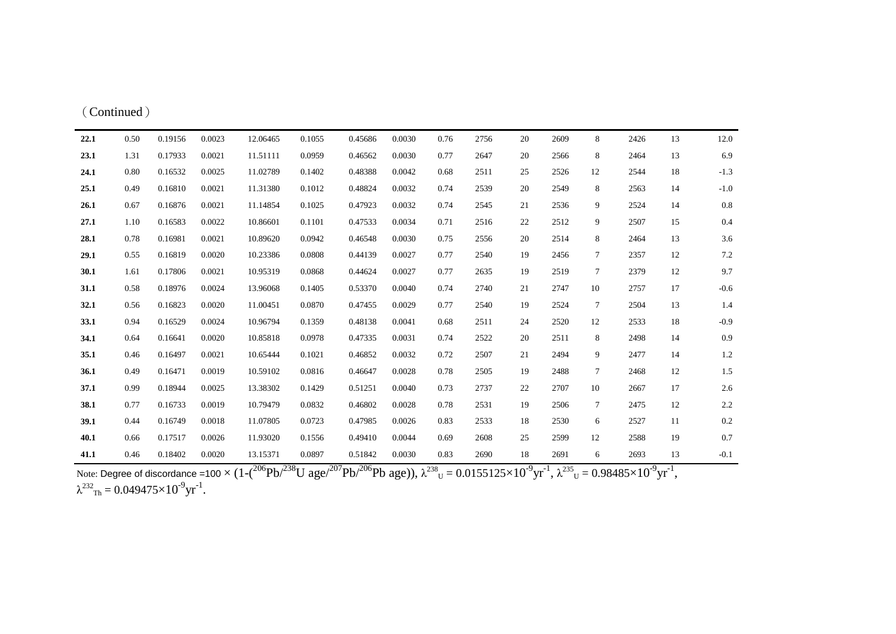| (Continued) |  |
|-------------|--|
|-------------|--|

| 22.1 | 0.50 | 0.19156 | 0.0023 | 12.06465 | 0.1055 | 0.45686 | 0.0030 | 0.76 | 2756 | 20 | 2609 | 8      | 2426 | 13 | 12.0    |
|------|------|---------|--------|----------|--------|---------|--------|------|------|----|------|--------|------|----|---------|
| 23.1 | 1.31 | 0.17933 | 0.0021 | 11.51111 | 0.0959 | 0.46562 | 0.0030 | 0.77 | 2647 | 20 | 2566 | 8      | 2464 | 13 | 6.9     |
| 24.1 | 0.80 | 0.16532 | 0.0025 | 11.02789 | 0.1402 | 0.48388 | 0.0042 | 0.68 | 2511 | 25 | 2526 | 12     | 2544 | 18 | $-1.3$  |
| 25.1 | 0.49 | 0.16810 | 0.0021 | 11.31380 | 0.1012 | 0.48824 | 0.0032 | 0.74 | 2539 | 20 | 2549 | 8      | 2563 | 14 | $-1.0$  |
| 26.1 | 0.67 | 0.16876 | 0.0021 | 11.14854 | 0.1025 | 0.47923 | 0.0032 | 0.74 | 2545 | 21 | 2536 | 9      | 2524 | 14 | 0.8     |
| 27.1 | 1.10 | 0.16583 | 0.0022 | 10.86601 | 0.1101 | 0.47533 | 0.0034 | 0.71 | 2516 | 22 | 2512 | 9      | 2507 | 15 | 0.4     |
| 28.1 | 0.78 | 0.16981 | 0.0021 | 10.89620 | 0.0942 | 0.46548 | 0.0030 | 0.75 | 2556 | 20 | 2514 | 8      | 2464 | 13 | 3.6     |
| 29.1 | 0.55 | 0.16819 | 0.0020 | 10.23386 | 0.0808 | 0.44139 | 0.0027 | 0.77 | 2540 | 19 | 2456 | $\tau$ | 2357 | 12 | $7.2\,$ |
| 30.1 | 1.61 | 0.17806 | 0.0021 | 10.95319 | 0.0868 | 0.44624 | 0.0027 | 0.77 | 2635 | 19 | 2519 | $\tau$ | 2379 | 12 | 9.7     |
| 31.1 | 0.58 | 0.18976 | 0.0024 | 13.96068 | 0.1405 | 0.53370 | 0.0040 | 0.74 | 2740 | 21 | 2747 | 10     | 2757 | 17 | $-0.6$  |
| 32.1 | 0.56 | 0.16823 | 0.0020 | 11.00451 | 0.0870 | 0.47455 | 0.0029 | 0.77 | 2540 | 19 | 2524 | $\tau$ | 2504 | 13 | 1.4     |
| 33.1 | 0.94 | 0.16529 | 0.0024 | 10.96794 | 0.1359 | 0.48138 | 0.0041 | 0.68 | 2511 | 24 | 2520 | 12     | 2533 | 18 | $-0.9$  |
| 34.1 | 0.64 | 0.16641 | 0.0020 | 10.85818 | 0.0978 | 0.47335 | 0.0031 | 0.74 | 2522 | 20 | 2511 | 8      | 2498 | 14 | 0.9     |
| 35.1 | 0.46 | 0.16497 | 0.0021 | 10.65444 | 0.1021 | 0.46852 | 0.0032 | 0.72 | 2507 | 21 | 2494 | 9      | 2477 | 14 | 1.2     |
| 36.1 | 0.49 | 0.16471 | 0.0019 | 10.59102 | 0.0816 | 0.46647 | 0.0028 | 0.78 | 2505 | 19 | 2488 | $\tau$ | 2468 | 12 | 1.5     |
| 37.1 | 0.99 | 0.18944 | 0.0025 | 13.38302 | 0.1429 | 0.51251 | 0.0040 | 0.73 | 2737 | 22 | 2707 | 10     | 2667 | 17 | 2.6     |
| 38.1 | 0.77 | 0.16733 | 0.0019 | 10.79479 | 0.0832 | 0.46802 | 0.0028 | 0.78 | 2531 | 19 | 2506 | $\tau$ | 2475 | 12 | 2.2     |
| 39.1 | 0.44 | 0.16749 | 0.0018 | 11.07805 | 0.0723 | 0.47985 | 0.0026 | 0.83 | 2533 | 18 | 2530 | 6      | 2527 | 11 | 0.2     |
| 40.1 | 0.66 | 0.17517 | 0.0026 | 11.93020 | 0.1556 | 0.49410 | 0.0044 | 0.69 | 2608 | 25 | 2599 | 12     | 2588 | 19 | 0.7     |
| 41.1 | 0.46 | 0.18402 | 0.0020 | 13.15371 | 0.0897 | 0.51842 | 0.0030 | 0.83 | 2690 | 18 | 2691 | 6      | 2693 | 13 | $-0.1$  |

Note: Degree of discordance =100  $\times$  (1-( $^{206}$ Pb/ $^{238}$ U age/ $^{207}$ Pb/ $^{206}$ Pb age)),  $\lambda^{238}$ <sub>U</sub> =  $0.0155125\times10^{•9}$ yr $^{-1}$ ,  $\lambda^{235}$ <sub>U</sub> =  $0.98485\times10^{•9}$ yr $^{-1}$ ,  $\lambda^{232}$ <sub>Th</sub> = 0.049475×10<sup>-9</sup>yr<sup>-1</sup>.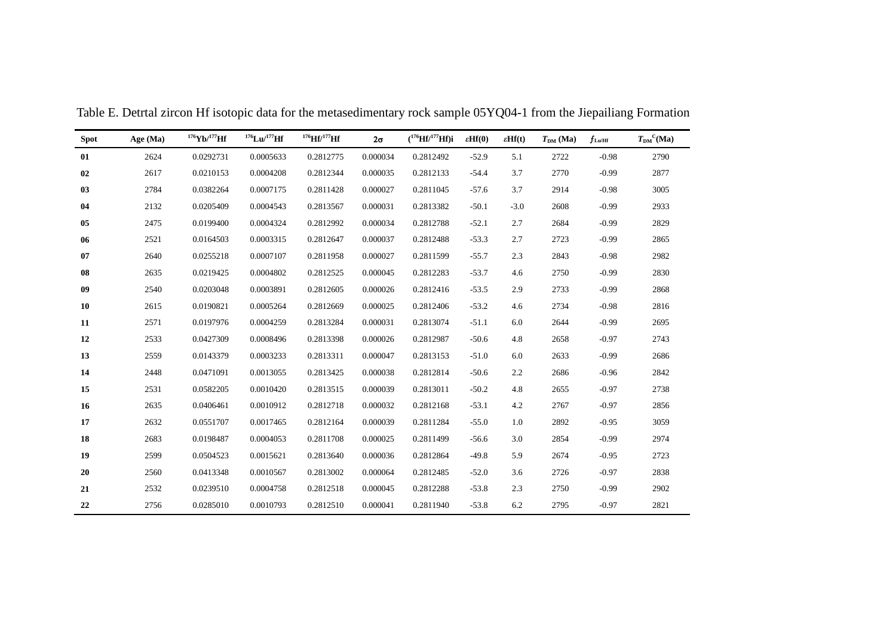| <b>Spot</b> | Age $(Ma)$ | $176$ Yb/ $177$ Hf | $176$ Lu/ $177$ Hf | $^{176}$ Hf/ $^{177}$ Hf | $2\sigma$ | $(^{176}Hf/^{177}Hf)i$ | $\epsilon Hf(0)$ | $\epsilon Hf(t)$ | $T_{DM}$ (Ma) | $f_{\rm Lu/Hf}$ | $T_{DM}^{\ C}(Ma)$ |
|-------------|------------|--------------------|--------------------|--------------------------|-----------|------------------------|------------------|------------------|---------------|-----------------|--------------------|
| 01          | 2624       | 0.0292731          | 0.0005633          | 0.2812775                | 0.000034  | 0.2812492              | $-52.9$          | 5.1              | 2722          | $-0.98$         | 2790               |
| 02          | 2617       | 0.0210153          | 0.0004208          | 0.2812344                | 0.000035  | 0.2812133              | $-54.4$          | 3.7              | 2770          | $-0.99$         | 2877               |
| 03          | 2784       | 0.0382264          | 0.0007175          | 0.2811428                | 0.000027  | 0.2811045              | $-57.6$          | 3.7              | 2914          | $-0.98$         | 3005               |
| 04          | 2132       | 0.0205409          | 0.0004543          | 0.2813567                | 0.000031  | 0.2813382              | $-50.1$          | $-3.0$           | 2608          | $-0.99$         | 2933               |
| 05          | 2475       | 0.0199400          | 0.0004324          | 0.2812992                | 0.000034  | 0.2812788              | $-52.1$          | 2.7              | 2684          | $-0.99$         | 2829               |
| 06          | 2521       | 0.0164503          | 0.0003315          | 0.2812647                | 0.000037  | 0.2812488              | $-53.3$          | 2.7              | 2723          | $-0.99$         | 2865               |
| 07          | 2640       | 0.0255218          | 0.0007107          | 0.2811958                | 0.000027  | 0.2811599              | $-55.7$          | 2.3              | 2843          | $-0.98$         | 2982               |
| 08          | 2635       | 0.0219425          | 0.0004802          | 0.2812525                | 0.000045  | 0.2812283              | $-53.7$          | 4.6              | 2750          | $-0.99$         | 2830               |
| 09          | 2540       | 0.0203048          | 0.0003891          | 0.2812605                | 0.000026  | 0.2812416              | $-53.5$          | 2.9              | 2733          | $-0.99$         | 2868               |
| 10          | 2615       | 0.0190821          | 0.0005264          | 0.2812669                | 0.000025  | 0.2812406              | $-53.2$          | 4.6              | 2734          | $-0.98$         | 2816               |
| 11          | 2571       | 0.0197976          | 0.0004259          | 0.2813284                | 0.000031  | 0.2813074              | $-51.1$          | 6.0              | 2644          | $-0.99$         | 2695               |
| 12          | 2533       | 0.0427309          | 0.0008496          | 0.2813398                | 0.000026  | 0.2812987              | $-50.6$          | 4.8              | 2658          | $-0.97$         | 2743               |
| 13          | 2559       | 0.0143379          | 0.0003233          | 0.2813311                | 0.000047  | 0.2813153              | $-51.0$          | 6.0              | 2633          | $-0.99$         | 2686               |
| 14          | 2448       | 0.0471091          | 0.0013055          | 0.2813425                | 0.000038  | 0.2812814              | $-50.6$          | 2.2              | 2686          | $-0.96$         | 2842               |
| 15          | 2531       | 0.0582205          | 0.0010420          | 0.2813515                | 0.000039  | 0.2813011              | $-50.2$          | 4.8              | 2655          | $-0.97$         | 2738               |
| 16          | 2635       | 0.0406461          | 0.0010912          | 0.2812718                | 0.000032  | 0.2812168              | $-53.1$          | 4.2              | 2767          | $-0.97$         | 2856               |
| 17          | 2632       | 0.0551707          | 0.0017465          | 0.2812164                | 0.000039  | 0.2811284              | $-55.0$          | 1.0              | 2892          | $-0.95$         | 3059               |
| 18          | 2683       | 0.0198487          | 0.0004053          | 0.2811708                | 0.000025  | 0.2811499              | $-56.6$          | 3.0              | 2854          | $-0.99$         | 2974               |
| 19          | 2599       | 0.0504523          | 0.0015621          | 0.2813640                | 0.000036  | 0.2812864              | $-49.8$          | 5.9              | 2674          | $-0.95$         | 2723               |
| 20          | 2560       | 0.0413348          | 0.0010567          | 0.2813002                | 0.000064  | 0.2812485              | $-52.0$          | 3.6              | 2726          | $-0.97$         | 2838               |
| 21          | 2532       | 0.0239510          | 0.0004758          | 0.2812518                | 0.000045  | 0.2812288              | $-53.8$          | 2.3              | 2750          | $-0.99$         | 2902               |
| 22          | 2756       | 0.0285010          | 0.0010793          | 0.2812510                | 0.000041  | 0.2811940              | $-53.8$          | 6.2              | 2795          | $-0.97$         | 2821               |

Table E. Detrtal zircon Hf isotopic data for the metasedimentary rock sample 05YQ04-1 from the Jiepailiang Formation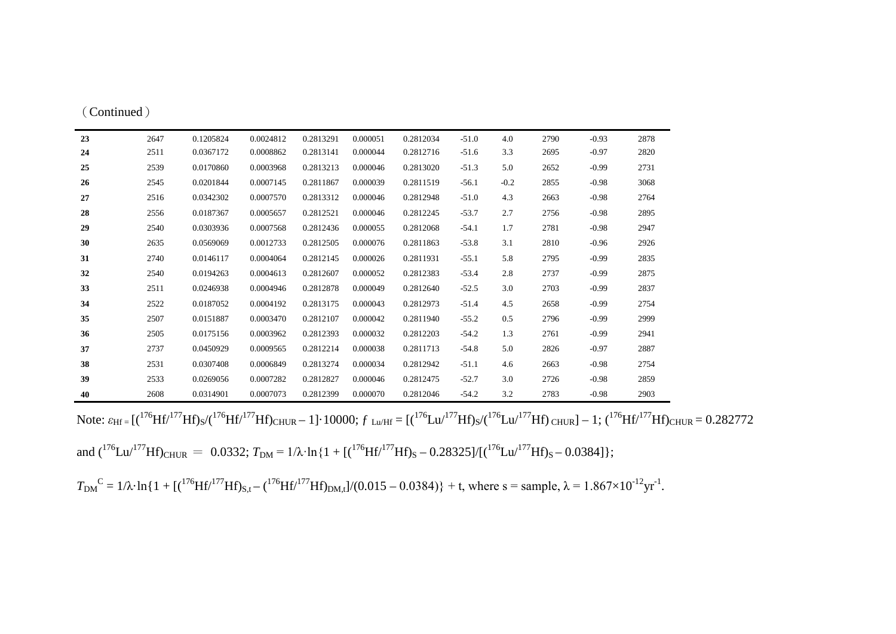| (Continued) |      |         |
|-------------|------|---------|
| 23          | 2647 | 0.12058 |

| 23 | 2647 | 0.1205824 | 0.0024812 | 0.2813291 | 0.000051 | 0.2812034 | $-51.0$ | 4.0    | 2790 | $-0.93$ | 2878 |
|----|------|-----------|-----------|-----------|----------|-----------|---------|--------|------|---------|------|
| 24 | 2511 | 0.0367172 | 0.0008862 | 0.2813141 | 0.000044 | 0.2812716 | $-51.6$ | 3.3    | 2695 | $-0.97$ | 2820 |
| 25 | 2539 | 0.0170860 | 0.0003968 | 0.2813213 | 0.000046 | 0.2813020 | $-51.3$ | 5.0    | 2652 | $-0.99$ | 2731 |
| 26 | 2545 | 0.0201844 | 0.0007145 | 0.2811867 | 0.000039 | 0.2811519 | $-56.1$ | $-0.2$ | 2855 | $-0.98$ | 3068 |
| 27 | 2516 | 0.0342302 | 0.0007570 | 0.2813312 | 0.000046 | 0.2812948 | $-51.0$ | 4.3    | 2663 | $-0.98$ | 2764 |
| 28 | 2556 | 0.0187367 | 0.0005657 | 0.2812521 | 0.000046 | 0.2812245 | $-53.7$ | 2.7    | 2756 | $-0.98$ | 2895 |
| 29 | 2540 | 0.0303936 | 0.0007568 | 0.2812436 | 0.000055 | 0.2812068 | $-54.1$ | 1.7    | 2781 | $-0.98$ | 2947 |
| 30 | 2635 | 0.0569069 | 0.0012733 | 0.2812505 | 0.000076 | 0.2811863 | $-53.8$ | 3.1    | 2810 | $-0.96$ | 2926 |
| 31 | 2740 | 0.0146117 | 0.0004064 | 0.2812145 | 0.000026 | 0.2811931 | $-55.1$ | 5.8    | 2795 | $-0.99$ | 2835 |
| 32 | 2540 | 0.0194263 | 0.0004613 | 0.2812607 | 0.000052 | 0.2812383 | $-53.4$ | 2.8    | 2737 | $-0.99$ | 2875 |
| 33 | 2511 | 0.0246938 | 0.0004946 | 0.2812878 | 0.000049 | 0.2812640 | $-52.5$ | 3.0    | 2703 | $-0.99$ | 2837 |
| 34 | 2522 | 0.0187052 | 0.0004192 | 0.2813175 | 0.000043 | 0.2812973 | $-51.4$ | 4.5    | 2658 | $-0.99$ | 2754 |
| 35 | 2507 | 0.0151887 | 0.0003470 | 0.2812107 | 0.000042 | 0.2811940 | $-55.2$ | 0.5    | 2796 | $-0.99$ | 2999 |
| 36 | 2505 | 0.0175156 | 0.0003962 | 0.2812393 | 0.000032 | 0.2812203 | $-54.2$ | 1.3    | 2761 | $-0.99$ | 2941 |
| 37 | 2737 | 0.0450929 | 0.0009565 | 0.2812214 | 0.000038 | 0.2811713 | $-54.8$ | 5.0    | 2826 | $-0.97$ | 2887 |
| 38 | 2531 | 0.0307408 | 0.0006849 | 0.2813274 | 0.000034 | 0.2812942 | $-51.1$ | 4.6    | 2663 | $-0.98$ | 2754 |
| 39 | 2533 | 0.0269056 | 0.0007282 | 0.2812827 | 0.000046 | 0.2812475 | $-52.7$ | 3.0    | 2726 | $-0.98$ | 2859 |
| 40 | 2608 | 0.0314901 | 0.0007073 | 0.2812399 | 0.000070 | 0.2812046 | $-54.2$ | 3.2    | 2783 | $-0.98$ | 2903 |

Note:  $\varepsilon_{Hf} = [({}^{176}Hf/{}^{177}Hf)_{S}/({}^{176}Hf/{}^{177}Hf)_{CHUR} - 1] \cdot 10000$ ;  $f_{Lw/Hf} = [({}^{176}Lu/{}^{177}Hf)_{S}/({}^{176}Lu/{}^{177}Hf)_{CHUR}] - 1$ ;  $({}^{176}Hf/{}^{177}Hf)_{CHUR} = 0.282772$ 

and  $({}^{176}Lu/{}^{177}Hf)_{CHUR} = 0.0332$ ;  $T_{DM} = 1/\lambda \cdot \ln\{1 + [({}^{176}Hf/{}^{177}Hf)_S - 0.28325]/[{({}^{176}Lu/{}^{177}Hf)_S - 0.0384}]\};$ 

 $T_{DM}^{\circ}$ <sup>C</sup> = 1/λ·ln{1 + [(<sup>176</sup>Hf/<sup>177</sup>Hf)<sub>S,t</sub> – (<sup>176</sup>Hf/<sup>177</sup>Hf)<sub>DM,t</sub>]/(0.015 – 0.0384)} + t, where s = sample,  $\lambda$  = 1.867×10<sup>-12</sup>yr<sup>-1</sup>.